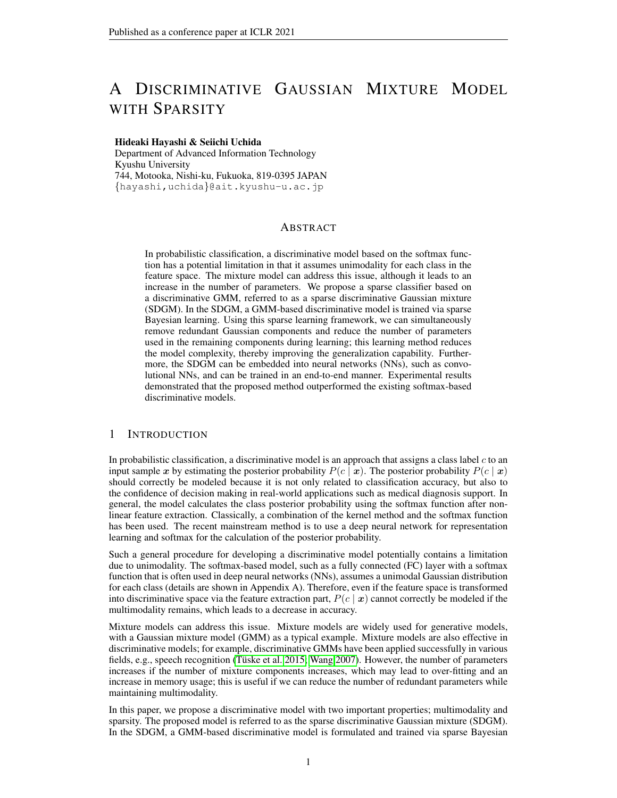# A DISCRIMINATIVE GAUSSIAN MIXTURE MODEL WITH SPARSITY

#### Hideaki Hayashi & Seiichi Uchida

Department of Advanced Information Technology Kyushu University 744, Motooka, Nishi-ku, Fukuoka, 819-0395 JAPAN {hayashi,uchida}@ait.kyushu-u.ac.jp

## ABSTRACT

In probabilistic classification, a discriminative model based on the softmax function has a potential limitation in that it assumes unimodality for each class in the feature space. The mixture model can address this issue, although it leads to an increase in the number of parameters. We propose a sparse classifier based on a discriminative GMM, referred to as a sparse discriminative Gaussian mixture (SDGM). In the SDGM, a GMM-based discriminative model is trained via sparse Bayesian learning. Using this sparse learning framework, we can simultaneously remove redundant Gaussian components and reduce the number of parameters used in the remaining components during learning; this learning method reduces the model complexity, thereby improving the generalization capability. Furthermore, the SDGM can be embedded into neural networks (NNs), such as convolutional NNs, and can be trained in an end-to-end manner. Experimental results demonstrated that the proposed method outperformed the existing softmax-based discriminative models.

# 1 INTRODUCTION

In probabilistic classification, a discriminative model is an approach that assigns a class label  $c$  to an input sample x by estimating the posterior probability  $P(c \mid x)$ . The posterior probability  $P(c \mid x)$ should correctly be modeled because it is not only related to classification accuracy, but also to the confidence of decision making in real-world applications such as medical diagnosis support. In general, the model calculates the class posterior probability using the softmax function after nonlinear feature extraction. Classically, a combination of the kernel method and the softmax function has been used. The recent mainstream method is to use a deep neural network for representation learning and softmax for the calculation of the posterior probability.

Such a general procedure for developing a discriminative model potentially contains a limitation due to unimodality. The softmax-based model, such as a fully connected (FC) layer with a softmax function that is often used in deep neural networks (NNs), assumes a unimodal Gaussian distribution for each class (details are shown in Appendix A). Therefore, even if the feature space is transformed into discriminative space via the feature extraction part,  $P(c | x)$  cannot correctly be modeled if the multimodality remains, which leads to a decrease in accuracy.

Mixture models can address this issue. Mixture models are widely used for generative models, with a Gaussian mixture model (GMM) as a typical example. Mixture models are also effective in discriminative models; for example, discriminative GMMs have been applied successfully in various fields, e.g., speech recognition (Tüske et al. 2015; [Wang 2007\)](#page-10-1). However, the number of parameters increases if the number of mixture components increases, which may lead to over-fitting and an increase in memory usage; this is useful if we can reduce the number of redundant parameters while maintaining multimodality.

In this paper, we propose a discriminative model with two important properties; multimodality and sparsity. The proposed model is referred to as the sparse discriminative Gaussian mixture (SDGM). In the SDGM, a GMM-based discriminative model is formulated and trained via sparse Bayesian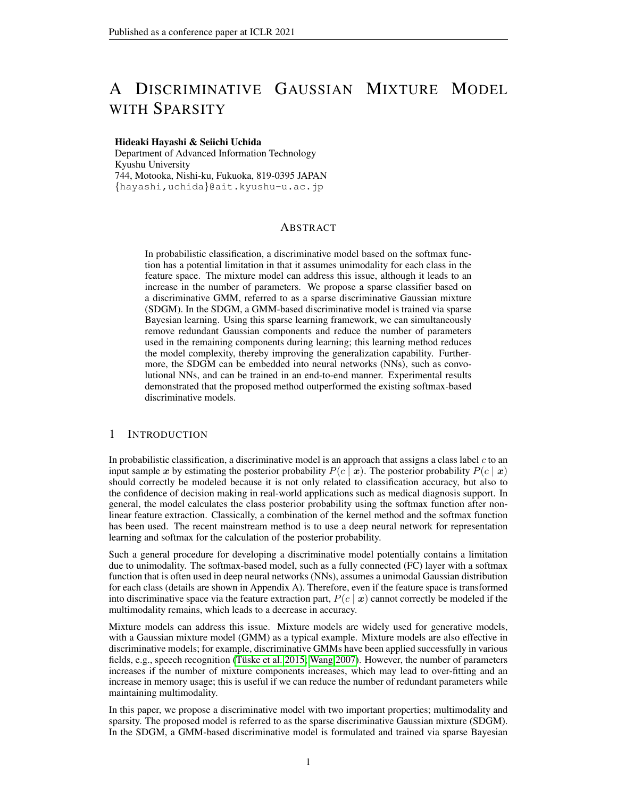

<span id="page-1-0"></span>Figure 1: Comparison of decision boundaries. The black and green circles represent training samples from classes 1 and 2, respectively. The dashed black line indicates the decision boundary between classes 1 and 2 and thus satisfies  $P(c = 1 | x) = (c = 2 | x) = 0.5$ . The dashed blue and red lines represent the boundaries between the posterior probabilities of the mixture components.

learning. This learning algorithm reduces memory usage without losing generalization capability by obtaining sparse weights while maintaining the multimodality of the mixture model.

The technical highlight of this study is twofold: One is that the SDGM finds the multimodal structure in the feature space and the other is that redundant Gaussian components are removed owing to sparse learning. Figure [1](#page-1-0) shows a comparison of the decision boundaries with other discriminative models. The two-class data are from Ripley's synthetic data [\(Ripley 2006\)](#page-9-0), where two Gaussian components are used to generate data for each class. The FC layer with the softmax function, which is often used in the last layer of deep NNs, assumes a unimodal Gaussian for each class, resulting in an inappropriate decision boundary. Kernel Bayesian methods, such as the Gaussian process (GP) classifier [\(Wenzel et al. 2019\)](#page-10-2) and relevance vector machine (RVM) [\(Tipping 2001\)](#page-9-1), estimate nonlinear decision boundaries using nonlinear kernels, whereas these methods cannot find multimodal structures. Although the discriminative GMM finds multimodal structure, this model retains redundant Gaussian components. However, the proposed SDGM finds a multimodal structure of data while removing redundant components, which leads to an accurate decision boundary.

Furthermore, the SDGM can be embedded into NNs, such as convolutional NNs (CNNs), and trained in an end-to-end manner with an NN. The proposed SDGM is also considered as a mixture, nonlinear, and sparse expansion of the logistic regression, and thus the SDGM can be used as the last layer of an NN for classification by replacing it with the fully connected (FC) layer with a softmax activation function.

The contributions of this study are as follows:

- We propose a novel sparse classifier based on a discriminative GMM. The proposed SDGM has both multimodality and sparsity, thereby flexibly estimating the posterior distribution of classes while removing redundant parameters. Moreover, the SDGM automatically determines the number of components by simultaneously removing the redundant components during learning.
- From the perspective of the Bayesian kernel methods, the SDGM is considered as the expansion of the GP and RVM. The SDGM can estimate the posterior probabilities more flexibly than the GP and RVM owing to multimodality. The experimental comparison using benchmark data demonstrated superior performance to the existing Bayesian kernel methods.
- This study connects both fields of probabilistic models and NNs. From the equivalence of a discriminative model based on a Gaussian distribution to an FC layer, we demonstrate that the SDGM can be used as a module of a deep NN. We also demonstrate that the SDGM exhibits superior performance to the FC layer with a softmax function via end-toend learning with an NN on the image recognition task.

## <span id="page-1-1"></span>2 RELATED WORK AND POSITION OF THIS STUDY

The position of the proposed SDGM among the related methods is summarized in Figure [2.](#page-2-0) Interestingly, by summarizing the relationships, we can confirm that the three separately developed fields, generative models, discriminative models, and kernel Bayesian methods, are related to each other. Starting from the Gaussian distribution, all the models shown in Figure [2](#page-2-0) are connected via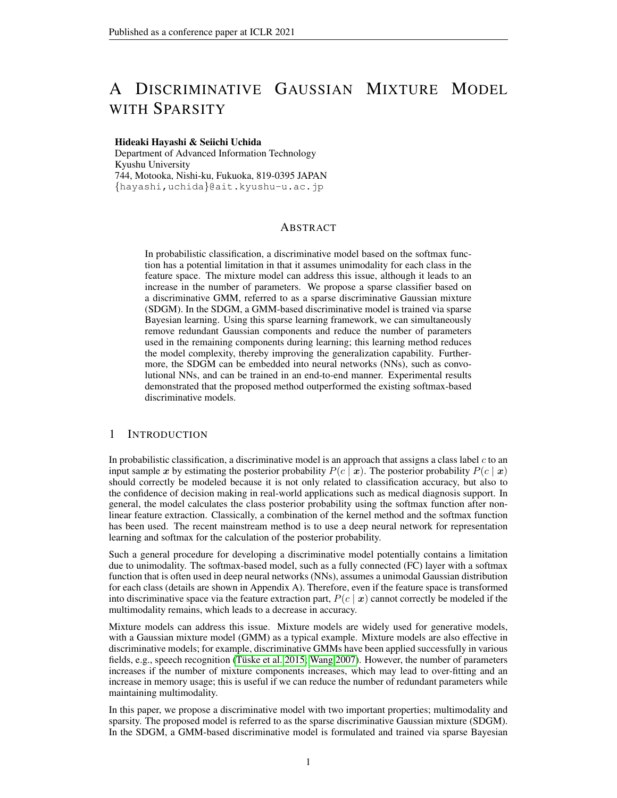four types of arrows. There is an undeveloped area in the upper right part, and the development of the area is the contribution of this study.

A (unimodal) Gaussian distribution is used as the most naive generative model in machine learning and is the foundation of this relationship diagram. A GMM is the mixture expansion of the Gaussian distributions. Since the GMM can express (almost) arbitrary continuous distributions using multiple Gaussian components, it has been utilized for a long time. Since Gaussian fitting requires numerous parameters, the sparsified versions of Gaussian [\(Hsieh et al.](#page-9-2) [2011\)](#page-9-2) and GMM [\(Gaiffas & Michel](#page-8-0) [2014\)](#page-8-0) have been proposed.



The discriminative models and the generative models are mutually related [\(Lasserre et al. 2006;](#page-9-3) [Minka](#page-9-4)

<span id="page-2-0"></span>

[2005\)](#page-9-4). According to [Lasserre et al.](#page-9-3) [\(2006\)](#page-9-3), the only difference between these models is their statistical parameter constraints. Therefore, given a generative model, we can derive a corresponding discriminative model. For example, discriminative models corresponding to the Gaussian mixture model have been proposed [\(Axelrod et al. 2006;](#page-8-1) [Bahl et al. 1996;](#page-8-2) [Klautau et al. 2003;](#page-9-5) [Tsai & Chang](#page-9-6) [2002;](#page-9-6) [Tsuji et al. 1999;](#page-9-7) [Tuske et al. 2015;](#page-10-0) [Wang 2007\)](#page-10-1). They indicate more flexible fitting capa- ¨ bility for classification problems than the generative GMM because the discriminative models have a lower statistical bias than the generative models. Furthermore, as shown by Tüske et al. [\(2015\)](#page-10-0); [Variani et al.](#page-10-3) [\(2015\)](#page-10-3), these models can be used as the last layer of the NN because these models output the class posterior probability.

From the perspective of the kernel Bayesian methods, the GP classifier [\(Wenzel et al. 2019\)](#page-10-2) and the mixture of GPs (MGP) (Luo  $\&$  Sun 2017) are the Bayesian kernelized version of the logistic regression and the discriminative GMM, respectively. The SDGM with kernelization is also regarded as a kernel Bayesian method because the posterior distribution of weights is estimated during learning instead of directly estimating the weights as points, as with the GP and MGP. The RVM [\(Tipping](#page-9-1) [2001\)](#page-9-1) is the sparse version of the GP classifier and is the most important related study. The learning algorithm of the SDGM is based on that of the RVM; however, it is extended for the mixture model.

If we use kernelization, the SDGM becomes one of the kernel Bayesian methods and is considered as the mixture expansion of the RVM or sparse expansion of the MGP. Therefore, the classification capability and sparsity are compared with kernel Bayesian methods in Section [4.1.](#page-5-0) Otherwise, the SDGM is considered as one of the discriminative models and can be embedded in an NN. The comparison with other discriminative models is conducted in Section [4.2](#page-6-0) via image classification by combining a CNN.

# 3 SPARSE DISCRIMINATIVE GAUSSIAN MIXTURE (SDGM)

The SDGM takes a continuous variable as its input and outputs the posterior probability of each class, acquiring a sparse structure by removing redundant components via sparse Bayesian learning. Figure [3](#page-3-0) shows how the SDGM is trained by removing unnecessary components while maintaining discriminability. In this training, we set the initial number of components to three for each class. As the training progresses, one of the components for each class gradually becomes small and is removed.

# 3.1 NOTATION

Let  $x \in \mathbb{R}^D$  be a continuous input variable and  $t_c$  ( $c \in \{1, \ldots, C\}$ , C is the number of classes) be a discrete target variable that is coded in a one-of-C form, where  $t_c = 1$  if x belongs to class c,  $t_c = 0$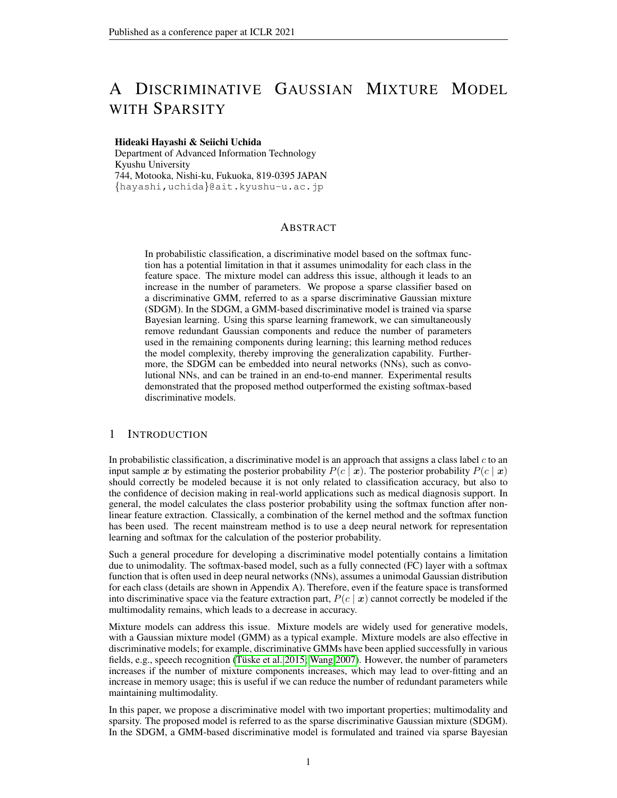

<span id="page-3-0"></span>Figure 3: Snapshots of the training process of SDGM. The meanings of lines and circles are the same as Figure [1.](#page-1-0) There are three components for each class in the initial stage of learning. As the training progresses, one of the components for each class becomes small gradually and is finally removed.

otherwise. Also, let  $z_{cm}$  be a discrete latent variable, and  $z_{cm} = 1$  when x from class c belongs to the m-th component ( $m \in \{1, \ldots, M_c\}$ ,  $M_c$  is the number of components for class c),  $z_{cm} = 0$ otherwise. For simplicity, in this paper, the probabilities for classes and components are described using only c and m; e.g., we use  $P(c, m \mid \boldsymbol{x})$  instead of  $P(t_c = 1, z_{cm} = 1 \mid \boldsymbol{x})$ .

#### <span id="page-3-4"></span>3.2 MODEL FORMULATION

The posterior probabilities of each class  $c$  given  $x$  are calculated as follows:

<span id="page-3-7"></span>
$$
P(c j \mathbf{x}) = \sum_{m=1}^{\mathbf{x}/c} P(c; m j \mathbf{x}); \quad P(c; m j \mathbf{x}) = \frac{C}{C} \sum_{c^0=1}^{\infty} \frac{C}{m^0} \frac{\exp[\mathbf{w}_{cm}^{\mathsf{T}}]}{m^0 = 1} \cdot \frac{C}{c^0 m^0} \exp[\mathbf{w}_{c^0 m^0}^{\mathsf{T}}] \cdot \tag{1}
$$

<span id="page-3-2"></span>
$$
= \mathbf{1}^{11} \times \mathbf{X}^{T} / x_1^{2} / x_1 x_2 / \cdots / x_1 x_D / x_2^{2} / x_2 x_3 / \cdots / x_D^{1} \tag{2}
$$

where  $\pi_{cm}$  is the mixture weight that is equivalent to the prior of each component  $P(c, m)$ . It should be noted that we use  $w_{cm} \in \mathbb{R}^H$ , which is the weight vector representing the m-th Gaussian component of class c. The dimension of  $w_{cm}$ , i.e., H, is the same as that of  $\phi$ ; namely,  $H =$  $1 + D(D+3)/2.$ 

**Derivation.** Utilizing a Gaussian distribution as a conditional distribution of x given c and m,  $P(x \mid c, m)$ , the posterior probability of c given x,  $P(c \mid x)$ , is calculated as follows:

$$
P(c j \mathbf{x}) = \sum_{m=1}^{\mathcal{H}c} \frac{P(c; m) P(\mathbf{x} j c; m)}{C_{c-1} M_{c} P(c; m) P(\mathbf{x} j c; m)}.
$$
\n(3)

$$
P(\mathbf{x} \mid c; m) = \frac{1}{(2 \int_{\frac{D}{2}}^{\frac{D}{2}} c m)^{\frac{1}{2}}} \exp \frac{1}{2} (\mathbf{x} \quad c m)^{\top} \frac{1}{cm} (\mathbf{x} \quad c m) \tag{4}
$$

where  $\mu_{cm} \in \mathbb{R}^D$  and  $\Sigma_{cm} \in \mathbb{R}^D$  are the mean vector and the covariance matrix for component m in class c. Since the calculation inside an exponential function in  $(4)$  is quadratic form, the conditional distributions can be transformed as follows:

<span id="page-3-6"></span><span id="page-3-5"></span><span id="page-3-3"></span><span id="page-3-1"></span>
$$
P(\mathbf{x} \mid c; m) = \exp[\mathbf{w}_{cm}^{\mathsf{T}}] \tag{5}
$$

where

$$
w_{cm} = \frac{D}{2} \ln 2 \frac{1}{2} \ln j \text{ cm} j \frac{1}{2} \sum_{i=1}^{N} \sum_{j=1}^{R} \sum_{j=1}^{N} \sum_{j=1}^{N} \sum_{j=1}^{N} \sum_{j=1}^{N} \sum_{j=1}^{N} \sum_{j=1}^{N} \sum_{j=1}^{N} \sum_{j=1}^{N} \sum_{j=1}^{N} \sum_{j=1}^{N} \sum_{j=1}^{N} \sum_{j=1}^{N} \sum_{j=1}^{N} \sum_{j=1}^{N} \sum_{j=1}^{N} \sum_{j=1}^{N} \sum_{j=1}^{N} \sum_{j=1}^{N} \sum_{j=1}^{N} \sum_{j=1}^{N} \sum_{j=1}^{N} \sum_{j=1}^{N} \sum_{j=1}^{N} \sum_{j=1}^{N} \sum_{j=1}^{N} \sum_{j=1}^{N} \sum_{j=1}^{N} \sum_{j=1}^{N} \sum_{j=1}^{N} \sum_{j=1}^{N} \sum_{j=1}^{N} \sum_{j=1}^{N} \sum_{j=1}^{N} \sum_{j=1}^{N} \sum_{j=1}^{N} \sum_{j=1}^{N} \sum_{j=1}^{N} \sum_{j=1}^{N} \sum_{j=1}^{N} \sum_{j=1}^{N} \sum_{j=1}^{N} \sum_{j=1}^{N} \sum_{j=1}^{N} \sum_{j=1}^{N} \sum_{j=1}^{N} \sum_{j=1}^{N} \sum_{j=1}^{N} \sum_{j=1}^{N} \sum_{j=1}^{N} \sum_{j=1}^{N} \sum_{j=1}^{N} \sum_{j=1}^{N} \sum_{j=1}^{N} \sum_{j=1}^{N} \sum_{j=1}^{N} \sum_{j=1}^{N} \sum_{j=1}^{N} \sum_{j=1}^{N} \sum_{j=1}^{N} \sum_{j=1}^{N} \sum_{j=1}^{N} \sum_{j=1}^{N} \sum_{j=1}^{N} \sum_{j=1}^{N} \sum_{j=1}^{N} \sum_{j=1}^{N} \sum_{j=1}^{N} \sum_{j=1}^{N} \sum_{j=1}^{N} \sum_{j=1}^{N}
$$

Here,  $s_{cmij}$  is the  $(i, j)$ -th element of  $\Sigma_{cm}^{-1}$ .

#### 3.3 DUAL FORM VIA KERNELIZATION

Since  $\phi$  is a second-order polynomial form, we can derive the dual form of the SDGM using polynomial kernels. By kernelization, we can treat the SDGM as the kernel Bayesian method as described in Section [2.](#page-1-1)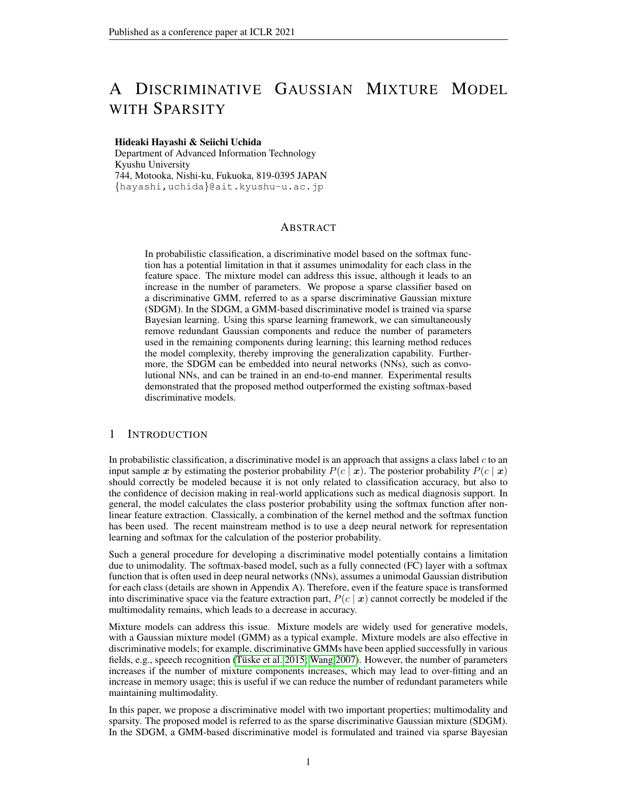Let  $\psi_{cm} \in \mathbb{R}^N$  be a novel weight vector for the  $c, m$ -th component. Using  $\psi_{cm}$  and the training dataset  $\{x_n\}_{n=1}^N$ , the weight of the original form  $w_{cm}$  is represented as

$$
W_{cm} = [ (x_1); \qquad ; (x_N)]_{cm}; \qquad (7)
$$

where  $\phi(x_n)$  is the transformation  $x_n$  of using [\(2\)](#page-3-2). Then, [\(5\)](#page-3-3) is reformulated as follows:

$$
P(\mathbf{x} \mid c; m) = \exp[\mathbf{w}_{cm}^{\mathsf{T}}]
$$
  
\n
$$
= \exp[\begin{array}{cc} \mathsf{T}_{cm} & (\mathbf{x}_1)^{\mathsf{T}} \\ \mathsf{T}_{cm} & (\mathbf{x}_2)^{\mathsf{T}} \end{array}] \quad (\mathbf{x}) \quad ; \quad (\mathbf{x}_N)^{\mathsf{T}} \quad (\mathbf{x})]^{\mathsf{T}}
$$
  
\n
$$
= \exp[\begin{array}{cc} \mathsf{T}_{cm} & K(\mathbf{x} \mid \mathbf{x}) \end{array}] \quad (8)
$$

where  $K(\mathbf{X}, x)$  is an N-dimensional vector that contains kernel functions defined as  $k(x_n, x) =$  $\phi(x_n)^\top \phi(x) = (x_n^\top x + 1)^2$  for its elements and **X** is a data matrix that has  $x_n^\top$  in the *n*-th row. Whereas the computational complexity of the original form in Section [3.2](#page-3-4) increases in the order of the square of the input dimension  $D$ , the dimensionality of this dual form is proportional to  $N$ . When we use this dual form, we use N and  $k(x_n, \cdot)$  instead of H and  $\phi(\cdot)$ , respectively.

## <span id="page-4-5"></span>3.4 LEARNING ALGORITHM

A set of training data and target value  $\{x_n, t_{nc}\}$  $(n = 1, \dots, N)$  is given. We also define  $\pi$  and z as vectors that comprise  $\pi_{cm}$  and  $z_{ncm}$  as their elements, respectively. As the prior distribution of the weight  $w_{cmh}$ , we employ a Gaussian distribution with a mean of zero. Using a different precision parameter (inverse of the variance)  $\alpha_{cmh}$  for each weight  $w_{cmh}$ , the joint probability of all the weights is represented as follows:

<span id="page-4-0"></span>
$$
P(w j) = \frac{\varphi \varphi_c \varphi_l \Gamma}{\frac{cmh}{2}} = \frac{1}{\pi} \exp \frac{1}{2} w_{cmh}^2 \text{ cmh} \quad (9)
$$



<span id="page-4-1"></span>Figure 4: Prior for each weight  $w_{cmh}$ . By maximizing the evidence term of the posterior of w, the precision of the prior  $\alpha_{cmh}$ achieves infinity if the corresponding weight  $w_{cmb}$  is redundant.

where w and  $\alpha$  are vectors with  $w_{cmh}$  and  $\alpha_{cmh}$  as

their elements, respectively. During learning, we update not only w but also  $\alpha$ . If  $\alpha_{cmh} \to \infty$ , the prior [\(9\)](#page-4-0) is 0; hence a sparse solution is obtained by optimizing  $\alpha$  as shown in Figure [4.](#page-4-1)

Using these variables, the expectation of the log-likelihood function over  $z$ ,  $J$ , is defined as follows:

<span id="page-4-2"></span>
$$
J = E_{\mathbf{z}} [\ln P(\mathbf{T}; \mathbf{z} \mid \mathbf{X}; \mathbf{w}; \cdot)]= \sum_{n=1}^{N} \sum_{c=1}^{K} r_{n c m} t_{n c} \ln P(c; m \mid \mathbf{x}_n);
$$

where **T** is a matrix with  $t_{nc}$  as its element. The variable  $r_{ncm}$  in the right-hand side corresponds to  $P(m \mid c, x_n)$  and can be calculated as  $r_{ncm} = P(c, m \mid x_n)/P(c \mid x_n)$ .

The posterior probability of the weight vector  $w$  is described as follows:

$$
P(\mathbf{w}^{\prime}|\mathbf{T};\mathbf{z};\mathbf{X};\mathbf{z};\mathbf{z}) = \frac{P(\mathbf{T};\mathbf{z}^{\prime}|\mathbf{X};\mathbf{w};\mathbf{z}^{\prime})\cdot P(\mathbf{w}^{\prime}|\mathbf{z})}{P(\mathbf{T};\mathbf{z}^{\prime}|\mathbf{X};\mathbf{z})}
$$
(10)

An optimal  $w$  is obtained as the point where [\(10\)](#page-4-2) is maximized. The denominator of the right-hand side in [\(10\)](#page-4-2) is called the evidence term, and we maximize it with respect to  $\alpha$ . However, this maximization problem cannot be solved analytically; therefore we introduce the Laplace approximation described as the following procedure.

With  $\alpha$  fixed, we obtain the mode of the posterior distribution of w. The solution is given by the point where the following equation is maximized:

$$
E_{\mathbf{z}}[\ln P(\mathbf{w}/T;\mathbf{z};\mathbf{X}; \cdot; \cdot)] = E_{\mathbf{z}}[\ln P(T;\mathbf{z}/\mathbf{X};\mathbf{w}; \cdot; \cdot)] + \ln P(\mathbf{w}/\cdot) + \text{const.}
$$
  
=  $J \mathbf{w}^T \mathbf{A} \mathbf{w} + \text{const.};$  (11)

where  $\mathbf{A} = \text{diag} \alpha_{cmb}$ . We obtain the mode of [\(11\)](#page-4-3) via Newton's method. The gradient and Hessian required for this estimation can be calculated as follows:

<span id="page-4-4"></span><span id="page-4-3"></span>
$$
\Gamma \mathsf{E}_{\mathbf{z}} \left[ \ln P(\mathbf{w} / \mathsf{T} / \mathsf{z} ; \mathsf{X}) \right] = \Gamma \mathsf{J} \quad \mathsf{A} \mathsf{w}; \tag{12}
$$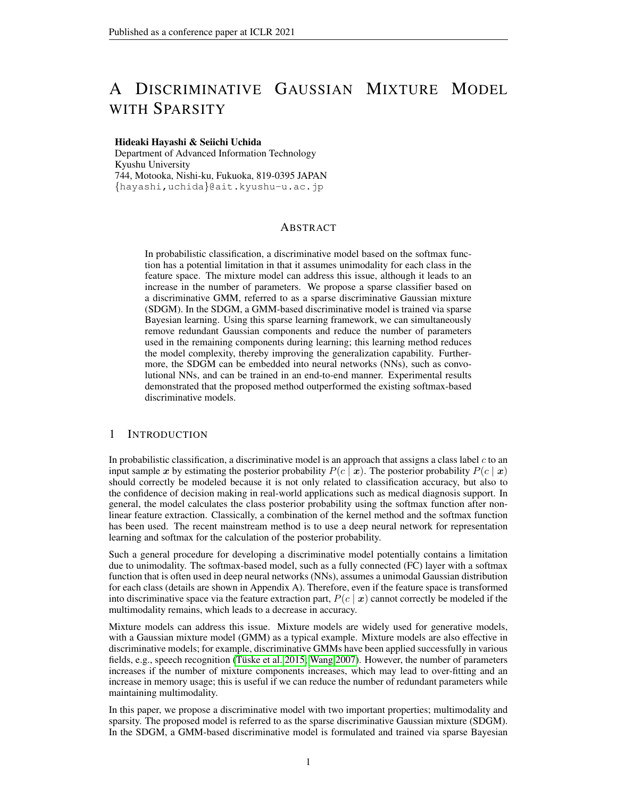Algorithm 1: Learning algorithm of the SDGM

<span id="page-5-5"></span>Input: Training data set X and teacher vector T. Output: Trained weight *w* obtained by maximizing [\(11\)](#page-4-3). Initialize the weights  $w$ , hyperparameters , mixture coefficients , and posterior probabilities  $r$ ; while *have not converged* do Calculate  $J$  using [\(10\)](#page-4-2); while r *have not converged* do while w *have not converged* do Calculate gradients using [\(12\)](#page-4-4); Calculate Hessian [\(13\)](#page-5-1); Maximize  $(11)$  w.r.t.  $w$ ; Calculate  $P(c; m | \mathbf{x}_n)$  and  $P(c | \mathbf{x}_n)$ ; end  $r_{ncm} = P(c; m j \mathbf{x}_n) = P(c j \mathbf{x}_n);$ end Calculate using [\(16\)](#page-5-2); Update using [\(17\)](#page-5-3); Update using [\(18\)](#page-5-4); end

<span id="page-5-1"></span> $r \Gamma \mathsf{E}_z [\ln P(\mathbf{w} / \mathsf{T}, \mathsf{z}; \mathsf{X}; \cdot) ] = r \Gamma \mathsf{J} \quad \mathsf{A}$ : (13)

Each element of  $\nabla J$  and  $\nabla \nabla J$  is calculated as follows:

$$
\frac{\mathcal{Q}J}{\mathcal{Q}W_{cmh}} = (r_{ncm}t_{nc} \quad P(c;mj \mathbf{X}_n)) \quad h.
$$

$$
\frac{\partial^2 J}{\partial w_{\text{cm}} \partial w_{\text{c}} \partial m^0 h^0} = P(c^0; m^0 j \mathbf{x}_n) (P(c; m j \mathbf{x}_n) \quad c c^0 m m^0) \quad h \quad h^0
$$
 (15)

where  $\delta_{cc}$ <sup>o</sup> mm<sup>o</sup> is a variable that takes 1 if both  $c = c^{\theta}$  and  $m = m^{\theta}$ , 0 otherwise. Hence, the posterior distribution of w can be approximated by a Gaussian distribution with a mean of  $\hat{w}$  and a covariance matrix of  $\Lambda$ , where

<span id="page-5-2"></span>
$$
= (r r \mathbb{E}_{\mathbf{z}} [\ln P(\mathbf{\hat{w}}/\mathbf{T}; \mathbf{z}; \mathbf{X}; \cdot, \cdot)])^{-1}.
$$
 (16)

Since the evidence term can be represented using the normalization term of this Gaussian distribution, we obtain the following updating rule by calculating its derivative with respect to  $\alpha_{cmh}$ .

<span id="page-5-3"></span>cn

$$
\frac{1}{\sqrt[4]{\omega_{cmh}}}\n \tag{17}
$$

where  $\lambda_{cmb}$  is the diagonal component of  $\Lambda$ . The mixture weight  $\pi_{cm}$  can be estimated using  $r_{ncm}$ as follows:

<span id="page-5-4"></span>
$$
\pi_{cm} = \frac{1}{N_c} \sum_{n=1}^{N_c} r_{ncm},\tag{18}
$$

where  $N_c$  is the number of training samples belonging to class c. As described above, we obtain a sparse solution by alternately repeating the update of hyper-parameters, as in [\(17\)](#page-5-3) and [\(18\)](#page-5-4), and the posterior distribution estimation of  $w$  using the Laplace approximation. As a result of the optimization, some of  $\alpha_{cmh}$  approach to infinite values, and  $w_{cmh}$  corresponding to  $\alpha_{cmh}$  have prior distributions with mean and variance both zero as shown in [\(4\)](#page-4-1); hence such  $w_{cmh}$  are removed because their posterior distributions are also with mean and variance both zero. During the procedure, the  $\{c, m\}$ -th component is eliminated if  $\pi_{cm}$  becomes 0 or all the weights  $w_{cmh}$  corresponding to the component become 0.

The learning algorithm of the SDGM is summarized in Algorithm [1.](#page-5-5) In this algorithm, the optimal weight is obtained as maximum a posterior solution. We can obtain a sparse solution by optimizing the prior distribution set to each weight simultaneously with weight optimization.

#### 4 EXPERIMENTS

#### <span id="page-5-0"></span>4.1 COMPARATIVE STUDY USING BENCHMARK DATA

To evaluate the capability of the SDGM quantitatively, we conducted a classification experiment using benchmark datasets. The datasets used in this experiment were Ripley's synthetic data [\(Ripley](#page-9-0)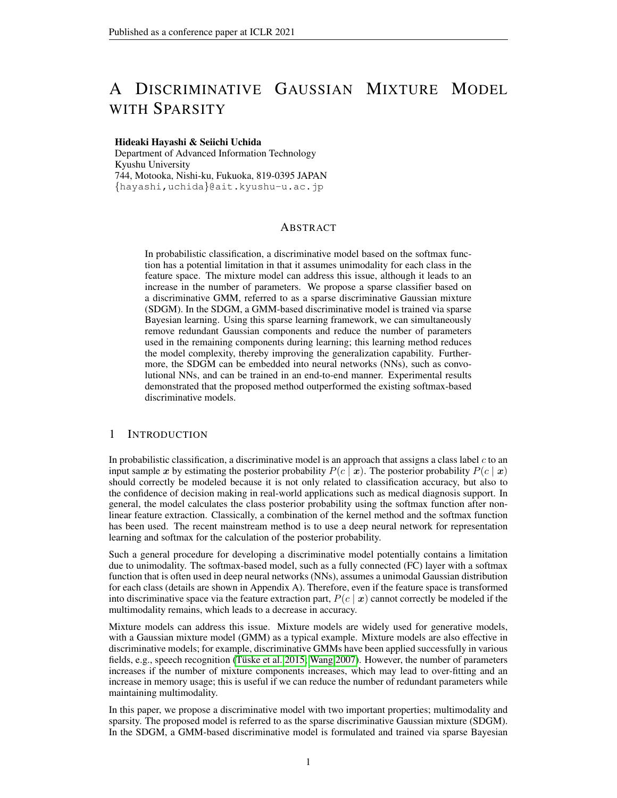|                      | Accuracy (error rate $(\%)$ ) |      |      |                  | Sparsity (number of nonzero weights) |       |        |                  |
|----------------------|-------------------------------|------|------|------------------|--------------------------------------|-------|--------|------------------|
|                      | <b>Baselines</b>              |      |      | <b>Baselines</b> |                                      |       |        |                  |
| Dataset              | <b>SDGM</b>                   | GP   | MGP  | <b>RVM</b>       | <b>SDGM</b>                          | GP    | MGP    | <b>RVM</b>       |
| Ripley               | 9.1                           | 9.1  | 9.3  | 9.3              | 6                                    | 250   | 1250   | $\boldsymbol{4}$ |
| Waveform             | 10.1                          | 10.4 | 9.6  | 10.9             | 11.0                                 | 400   | 2000   | 14.6             |
| Banana               | 10.6                          | 10.5 | 10.7 | 10.8             | 11.1                                 | 400   | 2000   | 11.4             |
| Titanic              | 22.6                          | 22.6 | 22.8 | 23.0             | 74.5                                 | 150   | 750    | 65.3             |
| <b>Breast Cancer</b> | 29.4                          | 30.4 | 30.7 | 29.9             | 15.7                                 | 200   | 1000   | 6.3              |
| Normalized mean      | 1.00                          | l.O1 | .01  | 1.03             | 1.00                                 | 25.76 | 128.79 | 0.86             |

<span id="page-6-1"></span>Table 1: Recognition error rate  $(\% )$  and number of nonzero weights

[2006\)](#page-9-0) (Ripley hereinafter) and four datasets cited from (Rätsch et al. 2001); Banana, Waveform, Titanic, and Breast Cancer. Ripley is a synthetic dataset that is generated from a two-dimensional  $(D = 2)$  Gaussian mixture model, and 250 and 1,000 samples are provided for training and test, respectively. The number of classes is two  $(C = 2)$ , and each class comprises two components. The remaining four datasets are all two-class  $(C = 2)$  datasets, which comprise different data sizes and dimensionality. Since they contain 100 training/test splits, we repeated experiments 100 times and then calculated average statistics.

For comparison, we used three kernel Bayesian methods: a GP classifier, an MPG classifier [\(Tresp](#page-9-10) [2001;](#page-9-10) [Luo & Sun 2017\)](#page-9-8), and an RVM [\(Tipping 2001\)](#page-9-1), which are closely related to the SDGM from the perspective of sparsity, multimodality, and Bayesian learning, as described in Section [2.](#page-1-1) In the evaluation, we compared the recognition error rates for discriminability and the number of nonzero weights for sparsity on the test data. The results of RVM were cited from [\(Tipping 2001\)](#page-9-1). By way of summary, the statistics were normalized by those of the SDGM, and the overall mean was shown.

Table [1](#page-6-1) shows the recognition error rates and the number of nonzero weights for each method. The results in Table [1](#page-6-1) demonstrated that the SDGM achieved a better accuracy on average compared to the other kernel Bayesian methods. The SDGM is developed based on a Gaussian mixture model and is particularly effective for data where a Gaussian distribution can be assumed, such as the Ripley dataset. Since the SDGM explicitly models multimodality, it could more accurately represent the sharp changes in decision boundaries near the border of components compared to the RVM, as shown in Figure [1.](#page-1-0) Although the SDGM did not necessarily outperform the other methods in all datasets, it achieved the best accuracy on average. In terms of sparsity, the number of initial weights for the SDGM is the same as MGP, and the SDGM reduced 90.0–99.5% of weights from the initial state due to the sparse Bayesian learning, which leads to drastically efficient use of memory compared to non-sparse classifiers (GP and MGP). The results above indicated that the SDGM demonstrated generalization capability and a sparsity simultaneously.

#### <span id="page-6-0"></span>4.2 IMAGE CLASSIFICATION

In this experiment, the SDGM is embedded into a deep neural network. Since the SDGM is differentiable with respect to the weights, SDGM can be embedded into a deep NN as a module and is trained in an end-to-end manner. In particular, the SDGM plays the same role as the softmax function since the SDGM calculates the posterior probability of each class given an input vector. We can show that a fully connected layer with the softmax is equivalent to the discriminative model based on a single Gaussian distribution for each class by applying a simple transformation (see Appendix A), whereas the SDGM is based on the Gaussian mixture model.

To verify the difference between them, we conducted image classification experiments. Using a CNN with a softmax function as a baseline, we evaluated the capability of SDGM by replacing softmax with the SDGM. We also used a CNN with a softmax function trained with  $L_1$  regularization, a CNN with a large margin softmax [\(Liu et al. 2016\)](#page-9-11), and a CNN with the discriminative GMM as other baselines.

In this experiment, we used the original form of the SDGM. To achieve sparse optimization during end-to-end training, we employed an approximated sparse Bayesian learning based on Gaussian dropout proposed by [Molchanov et al.](#page-9-12) [\(2017\)](#page-9-12). This is because it is difficult to execute the learning algorithm in Section [3.4](#page-4-5) with backpropagation due to large computational costs for inverse matrix calculation of the Hessian in [\(16\)](#page-5-2), which takes  $O(N^3)$ .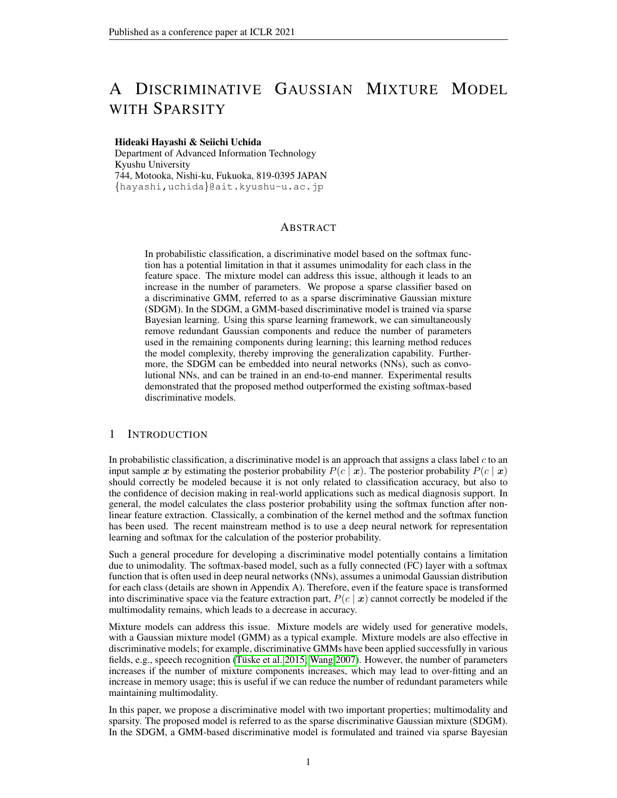

<span id="page-7-1"></span>Table 2: Recognition error rates (%) on image classification

<span id="page-7-0"></span>Figure 5: Visualization of CNN features on MNIST ( $D = 2$ ) after end-to-end learning. In this visualization, five convolutional layers with four max pooling layers between them and a fully connected layer with a two-dimensional output are used. (a) results when a fully connected layer with the softmax function is used as the last layer. (b) when SDGM is used as the last layer instead. The colors red, blue, yellow, pink, green, tomato, saddlebrown, lightgreen, cyan, and black represent classes from 0 to 9, respectively. Note that the ranges of the axis are different between (a) and (b).

#### 4.2.1 DATASETS AND EXPERIMENTAL SETUPS

We used the following datasets and experimental settings in this experiment.

**MNIST:** This dataset includes 10 classes of handwritten binary digit images of size  $28 \times 28$  [\(LeCun](#page-9-13) [et al. 1998\)](#page-9-13). We used 60,000 images as training data and 10,000 images as testing data. As a feature extractor, we used a simple CNN that consists of five convolutional layers with four max pooling layers between them and a fully connected layer. To visualize the learned CNN features, we first set the output dimension of the fully connected layer of the baseline CNN as two  $(D = 2)$ . Furthermore, we tested by increasing the output dimension of the fully connected layer from two to ten  $(D = 10)$ .

Fashion-MNIST: Fashion-MNIST [\(Xiao et al. 2017\)](#page-10-4) includes 10 classes of binary fashion images with a size of  $28 \times 28$ . It includes 60,000 images for training data and 10,000 images for testing data. We used the same CNN as in MNIST with 10 as the output dimension.

CIFAR-10 and CIFAR-100: CIFAR-10 and CIFAR-100 [\(Krizhevsky & Hinton 2009\)](#page-9-14) consist of 60,000  $32 \times 32$  color images in 10 classes and 100 classes, respectively. There are 50,000 training images and 10,000 test images for both datasets. For these datasets, we trained DenseNet [\(Huang](#page-9-15) [et al. 2017\)](#page-9-15) with a depth of 40 and a growth rate of 12 as a baseline CNN.

ImageNet: ImageNet classification dataset [\(Russakovsky et al. 2015\)](#page-9-16) includes 1,000 classes of generic object images with a size of  $224 \times 224$ . It consists of 1,281,167 training images, 50,000 validation images, and 100,000 test images. For this dataset, we used MobileNet [\(Howard et al.](#page-9-17) [2017\)](#page-9-17) as a baseline CNN.

It should be noted that we did not employ additional techniques to increase classification accuracy such as hyperparameter tuning and pre-trained models; therefore, the accuracy of the baseline model did not reach the state-of-the-art. This is because we considered that it is not essential to confirm the effectiveness of the proposed method.

## 4.2.2 RESULTS

Figure [5](#page-7-0) shows the two-dimensional feature embeddings on the MNIST dataset. Different feature embeddings were acquired for each method. When softmax was used, the features spread in a fan shape and some parts of the distribution overlapped around the origin. However, when the SDGM was used, the distribution for each class exhibited an ellipse shape and margins appeared between the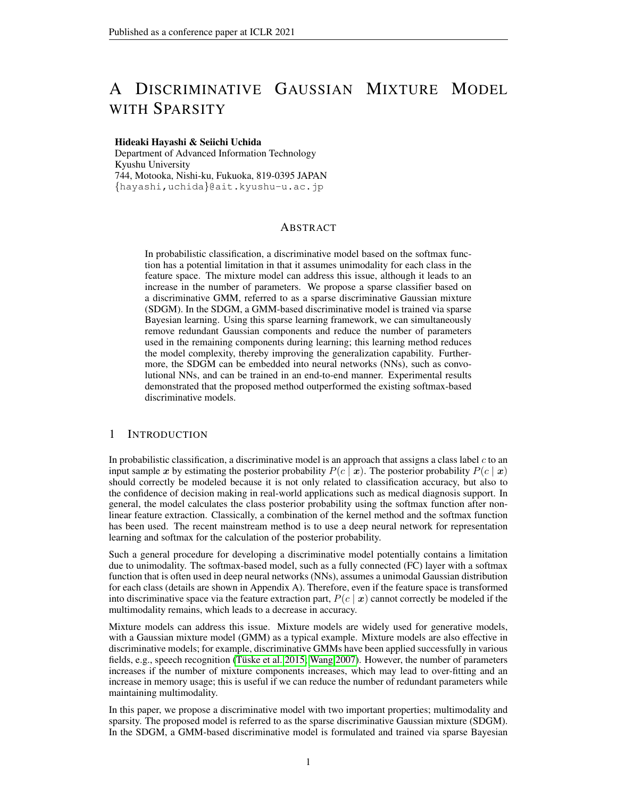class distributions. This is because the SDGM is based on a Gaussian mixture model and functions to push the features into a Gaussian shape.

Table [2](#page-7-1) shows the recognition error rates on each dataset. SDGM achieved better performance than softmax. Although sparse learning was ineffective in two out of six comparisons according to the comparison with the discriminative GMM, replacing softmax with SDGM was effective in all the comparisons. As shown in Figure [5,](#page-7-0) SDGM can create margins between classes by pushing the features into a Gaussian shape. This phenomenon positively affected classification capability. Although large-margin softmax, which has the effect of increasing the margin, and the discriminative GMM, which can represent multimodality, also achieved relatively high accuracy, the SDGM can achieve the same level of accuracy with sparse weights.

# 5 CONCLUSION

In this paper, we proposed a sparse classifier based on a Gaussian mixture model (GMM), which is named sparse discriminative Gaussian mixture (SDGM). In the SDGM, a GMM-based discriminative model was trained by sparse Bayesian learning. This learning algorithm improved the generalization capability by obtaining a sparse solution and automatically determined the number of components by removing redundant components. The SDGM can be embedded into neural networks (NNs) such as convolutional NNs and could be trained in an end-to-end manner.

In the experiments, we demonstrated that the SDGM could reduce the number of weights via sparse Bayesian learning, thereby improving its generalization capability. The comparison using benchmark datasets suggested that SDGM outperforms the conventional kernel Bayesian classifiers. We also demonstrated that SDGM outperformed the fully connected layer with the softmax function when it was used as the last layer of a deep NN.

One of the limitations of this study is that the proposed sparse learning reduces redundant Gaussian components but cannot obtain the optimal number of components, which should be improved in future work. Since the learning of the proposed method can be interpreted as the incorporation of the EM algorithm into the sparse Bayesian learning, we will tackle a theoretical analysis by utilizing the proofs for the EM algorithm [\(Wu 1983\)](#page-10-5) and the sparse Bayesian learning (Faul  $\&$ [Tipping 2001\)](#page-8-3). Furthermore, we would like to tackle the theoretical analysis of error bounds using the PAC-Bayesian theorem. We will also develop a sparse learning algorithm for a whole deep NN structure including the feature extraction part. This will improve the ability of the CNN for larger data classification. Further applications using the probabilistic property of the proposed model such as semi-supervised learning, uncertainty estimation, and confidence calibration will be considered.

## ACKNOWLEDGMENTS

This work was supported in part by JSPS KAKENHI Grant Number JP17K12752 and JST ACT-I Grant Number JPMJPR18UO.

# **REFERENCES**

- <span id="page-8-1"></span>Scott Axelrod, Vaibhava Goel, Ramesh Gopinath, Peder Olsen, and Karthik Visweswariah. Discriminative estimation of subspace constrained Gaussian mixture models for speech recognition. *IEEE Transactions on Audio, Speech, and Language Processing*, 15(1):172–189, 2006.
- <span id="page-8-2"></span>Lalit R Bahl, Mukund Padmanabhan, David Nahamoo, and PS Gopalakrishnan. Discriminative training of Gaussian mixture models for large vocabulary speech recognition systems. In *Proceedings of the International Conference on Acoustics, Speech, and Signal Processing Conference Proceedings (ICASSP)*, volume 2, pp. 613–616, 1996.
- <span id="page-8-3"></span>Anita Faul and Michael Tipping. Analysis of sparse Bayesian learning. *Proceedings of the Advances in Neural Information Processing Systems (NIPS)*, 14:383–389, 2001.
- <span id="page-8-0"></span>Stephane Gaiffas and Bertrand Michel. Sparse bayesian unsupervised learning. *arXiv preprint arXiv:1401.8017*, 2014.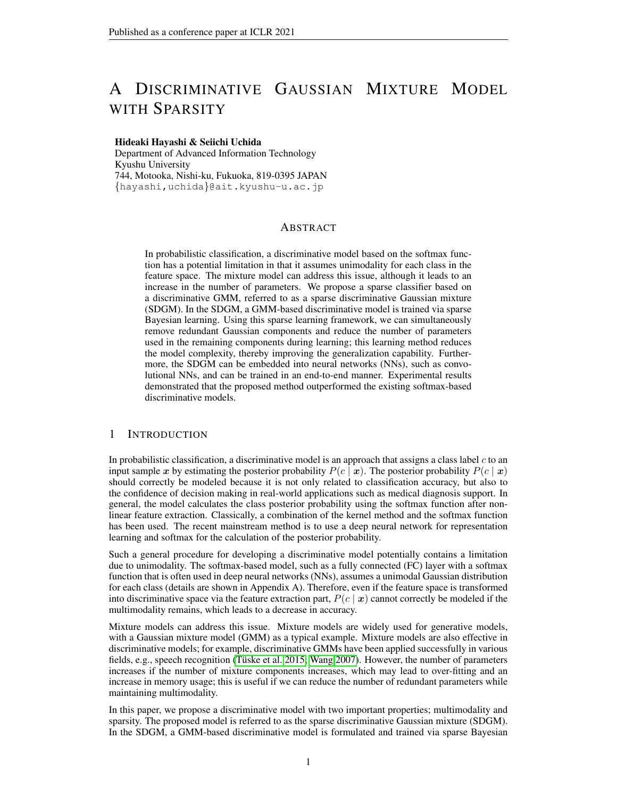- <span id="page-9-17"></span>Andrew G Howard, Menglong Zhu, Bo Chen, Dmitry Kalenichenko, Weijun Wang, Tobias Weyand, Marco Andreetto, and Hartwig Adam. Mobilenets: Efficient convolutional neural networks for mobile vision applications. *arXiv preprint arXiv:1704.04861*, 2017.
- <span id="page-9-2"></span>Cho-Jui Hsieh, Inderjit S Dhillon, Pradeep K Ravikumar, and Mátyás A Sustik. Sparse inverse covariance matrix estimation using quadratic approximation. In *Proceedings of the Advances in Neural Information Processing Systems (NIPS)*, pp. 2330–2338, 2011.
- <span id="page-9-15"></span>Gao Huang, Zhuang Liu, Laurens Van Der Maaten, and Kilian Q Weinberger. Densely connected convolutional networks. In *Proceedings of the IEEE Conference on Computer Vision and Pattern Recognition (CVPR)*, 2017.
- <span id="page-9-5"></span>Aldebaro Klautau, Nikola Jevtic, and Alon Orlitsky. Discriminative Gaussian mixture models: A comparison with kernel classifiers. In *Proceedings of the International Conference on Machine Learning (ICML)*, pp. 353–360, 2003.
- <span id="page-9-14"></span>Alex Krizhevsky and Geoffrey Hinton. Learning multiple layers of features from tiny images. Technical report, University of Toronto, 2009.
- <span id="page-9-3"></span>Julia A. Lasserre, Christopher M. Bishop, and Thomas P. Minka. Principled hybrids of generative and discriminative models. In *Proceedings of the IEEE Computer Society Conference on Computer Vision and Pattern Recognition (CVPR)*, pp. 87–94, 2006.
- <span id="page-9-13"></span>Yann LeCun, Léon Bottou, Yoshua Bengio, Patrick Haffner, et al. Gradient-based learning applied to document recognition. *Proceedings of the IEEE*, 86(11):2278–2324, 1998.
- <span id="page-9-11"></span>Weiyang Liu, Yandong Wen, Zhiding Yu, and Meng Yang. Large-margin softmax loss for convolutional neural networks. In *Proceedings of the International Conference on Machine Learning (ICML)*, volume 48, pp. 507–516, 2016.
- <span id="page-9-8"></span>Chen Luo and Shiliang Sun. Variational mixtures of gaussian processes for classification. In *Proceedings of the International Joint Conferences on Artificial Intelligence (IJCAI)*, pp. 4603–4609, 2017.
- <span id="page-9-4"></span>Tom Minka. Discriminative models, not discriminative training. Technical report, Technical Report MSR-TR-2005-144, Microsoft Research, 2005.
- <span id="page-9-12"></span>Dmitry Molchanov, Arsenii Ashukha, and Dmitry Vetrov. Variational dropout sparsifies deep neural networks. In *Proceedings of the International Conference on Machine Learning (ICML)*, pp. 2498–2507, 2017.
- <span id="page-9-9"></span>Gunnar Rätsch, Takashi Onoda, and K-R Müller. Soft margins for adaboost. *Machine learning*, 42 (3):287–320, 2001.
- <span id="page-9-0"></span>Brian D Ripley. *Pattern Recognition and Neural Networks*. Cambridge University Press, 2006.
- <span id="page-9-16"></span>Olga Russakovsky, Jia Deng, Hao Su, Jonathan Krause, Sanjeev Satheesh, Sean Ma, Zhiheng Huang, Andrej Karpathy, Aditya Khosla, Michael Bernstein, Alexander C. Berg, and Li Fei-Fei. ImageNet Large Scale Visual Recognition Challenge. *International Journal of Computer Vision (IJCV)*, 115(3):211–252, 2015. doi: 10.1007/s11263-015-0816-y.
- <span id="page-9-1"></span>Michael E Tipping. Sparse Bayesian learning and the relevance vector machine. *Journal of Machine Learning research*, 1(Jun):211–244, 2001.
- <span id="page-9-10"></span>Volker Tresp. Mixtures of gaussian processes. In *Proceedings of the Advances in Neural Information Processing Systems (NIPS)*, pp. 654–660, 2001.
- <span id="page-9-6"></span>Wuei-He Tsai and Wen-Whei Chang. Discriminative training of Gaussian mixture bigram models with application to Chinese dialect identification. *Speech Communication*, 36(3-4):317–326, 2002.
- <span id="page-9-7"></span>Toshio Tsuji, Osamu Fukuda, Hiroyuki Ichinobe, and Makoto Kaneko. A log-linearized Gaussian mixture network and its application to EEG pattern classification. *IEEE Transactions on Systems, Man, and Cybernetics, Part C: Applications and Reviews*, 29(1):60–72, 1999.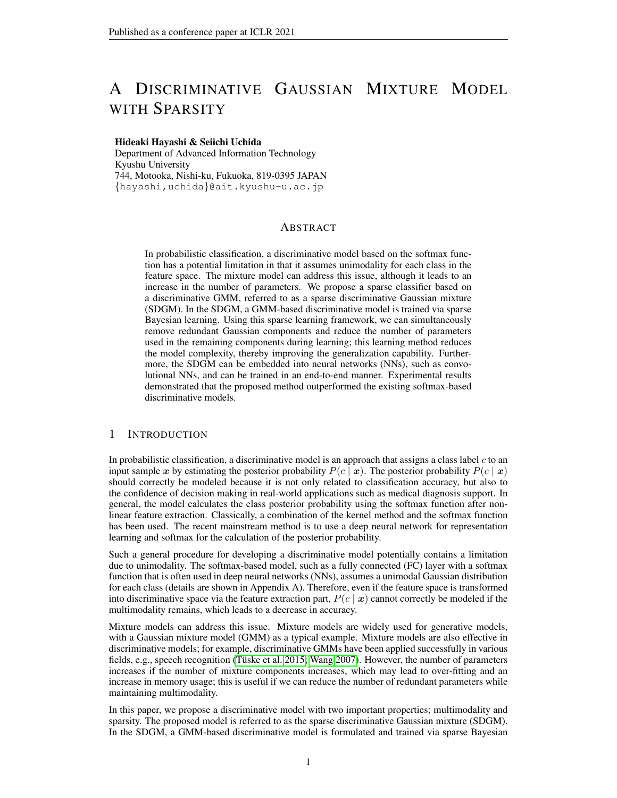- <span id="page-10-0"></span>Zoltán Tüske, Muhammad Ali Tahir, Ralf Schlüter, and Hermann Ney. Integrating Gaussian mixtures into deep neural networks: Softmax layer with hidden variables. In *Proceedings of the IEEE International Conference on Acoustics, Speech and Signal Processing (ICASSP)*, pp. 4285–4289, 2015.
- <span id="page-10-3"></span>Ehsan Variani, Erik McDermott, and Georg Heigold. A Gaussian mixture model layer jointly optimized with discriminative features within a deep neural network architecture. In *Proceedings of the International Conference on Acoustics, Speech and Signal Processing (ICASSP)*, pp. 4270– 4274, 2015.
- <span id="page-10-1"></span>Jue Wang. Discriminative Gaussian mixtures for interactive image segmentation. In *Proceedings of the IEEE International Conference on Acoustics, Speech and Signal Processing (ICASSP)*, volume 1, pp. 601–604, 2007.
- <span id="page-10-2"></span>Florian Wenzel, Theo Galy-Fajou, Christan Donner, Marius Kloft, and Manfred Opper. Efficient ´ gaussian process classification using polya-gamma data augmentation. In ` *Proceedings of the AAAI Conference on Artificial Intelligence*, volume 33, pp. 5417–5424, 2019.
- <span id="page-10-5"></span>CF Jeff Wu. On the convergence properties of the EM algorithm. *The Annals of statistics*, pp. 95–103, 1983.
- <span id="page-10-4"></span>Han Xiao, Kashif Rasul, and Roland Vollgraf. Fashion-MNIST: a novel image dataset for benchmarking machine learning algorithms. *arXiv preprint arXiv:1708.07747*, 2017.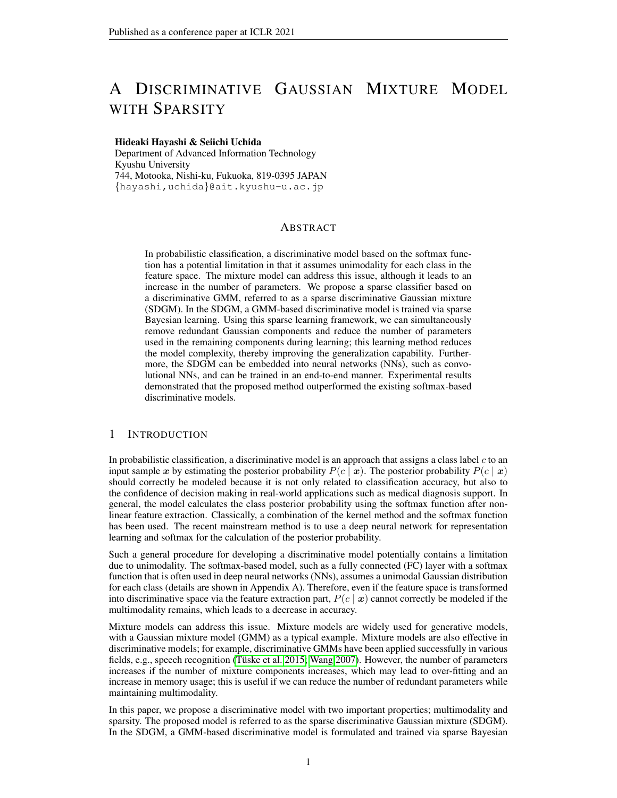## SUPPLEMENTARY MATERIALS

# A RELATIONSHIP BETWEEN THE DISCRIMINATIVE GAUSSIAN AND LOGISTIC REGRESSION

We show that a fully connected layer with the softmax function, or logistic regression, can be regarded as a discriminative model based on a Gaussian distribution by utilizing transformation of the equations. Let us consider a case in which the class-conditional probability  $P(x|c)$  is a Gaussian distribution. In this case, we can omit m from the equations  $(3)$ – $(6)$ .

If all classes share the same covariance matrix and the mixture weight  $\pi_{cm}$ , the terms  $\pi_{cm}$  in [\(1\)](#page-3-7),  $x_1^2, x_1x_2, \ldots, x_1x_D, x_2^2, x_2x_3, \ldots, x_2x_D, \ldots, x_D^2$  in [\(2\)](#page-3-2), and  $-\frac{1}{2}s_{c11}, \ldots, -\frac{1}{2}s_{cDD}$  in [\(6\)](#page-3-6) can be canceled; hence the calculation of the posterior probability  $P(c|\mathbf{x})$  is also simplified as

$$
P(c/\mathbf{x}) = \frac{\exp(\mathbf{w}_c^\top)}{C_{c-1}\exp(\mathbf{w}_c^\top)}
$$

where

$$
\mathbf{w}_{c} = [\log P(c) \quad \frac{1}{2} \sum_{i=1}^{N} \sum_{j=1}^{N} s_{cij} \quad c_i \quad c_j + \frac{D}{2} \log 2 \quad + \frac{1}{2} \log j \quad c_j; \sum_{i=1}^{N} \sum_{j=1}^{N} s_{ci1} \quad c_i; \quad \sum_{i=1}^{N} s_{ciD} \quad c_i]^T;
$$
  
=  $1, \mathbf{x}^T$ 

This is equivalent to a fully connected layer with the softmax function, or linear logistic regression.

# B EVALUATION OF CHARACTERISTICS USING SYNTHETIC DATA

To evaluate the characteristics of the SDGM, we conducted classification experiments using synthetic data. The dataset comprises two classes. The data were sampled from a Gaussian mixture model with eight components for each class. The numbers of training data and test data were 320 and 1,600, respectively. The scatter plot of this dataset is shown in Figure [6.](#page-12-0)

In the evaluation, we calculated the error rates for the training data and the test data, the number of components after training, the number of nonzero weights after training, and the weight reduction ratio (the ratio of the number of the nonzero weights to the number of initial weights), by varying the number of initial components as  $2, 4, 8, \ldots, 20$ . We repeated evaluation five times while regenerating the training and test data and calculated the average value for each evaluation criterion. We used the dual form of the SDGM in this experiment.

Figure [6](#page-12-0) displays the changes in the learned class boundaries according to the number of initial components. When the number of components is small, such as that shown in Figure [6\(](#page-12-0)a), the decision boundary is simple; therefore, the classification performance is insufficient. However, according to the increase in the number of components, the decision boundary fits the actual class boundaries. It is noteworthy that the SDGM learns the GMM as a discriminative model instead of a generative model; an appropriate decision boundary was obtained even if the number of components for the model is less than the actual number (e.g.,  $6(c)$ ).

Figure [7](#page-12-1) shows the evaluation results of the characteristics. Figures [7\(](#page-12-1)a), (b), (c), and (d) show the recognition error rate, number of components after training, number of nonzero weights after training, and weight reduction ratio, respectively. The horizontal axis shows the number of initial components in all the graphs.

In Figure [7\(](#page-12-1)a), the recognition error rates for the training data and test data are almost the same with the few numbers of components and decrease according to the increase in the number of initial components while it is 2 to 6. This implied that the representation capability was insufficient when the number of components was small, and that the network could not accurately separate the classes. Meanwhile, changes in the training and test error rates were both flat when the number of initial components exceeded eight, even though the test error rates were slightly higher than the training error rate. In general, the training error decreases and the test error increases when the complexity of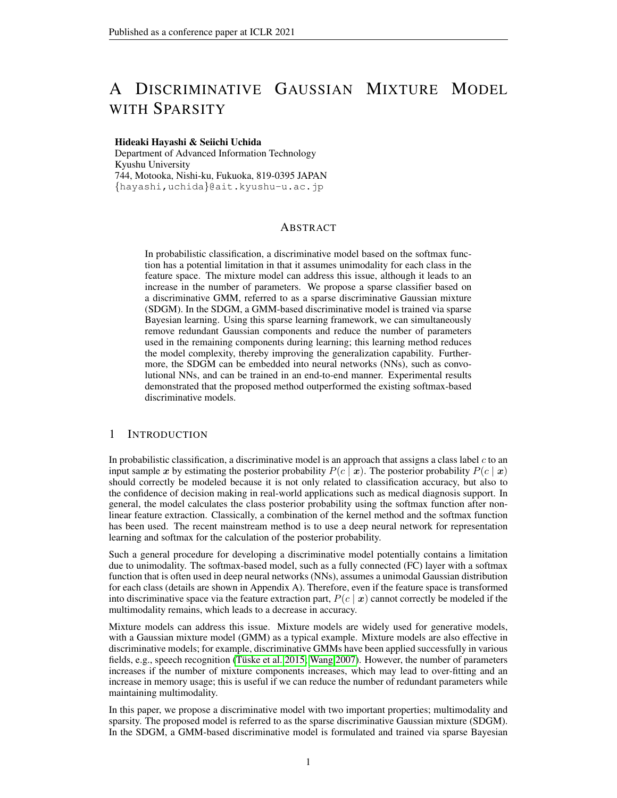

<span id="page-12-0"></span>Figure 6: Changes in learned class boundaries according to the number of initial components. The blue and green markers represent the samples from class 1 and class 2, respectively. Samples in red circles represent relevant vectors. The black lines are class boundaries where  $P(c | x) = 0.5$ .



<span id="page-12-1"></span>Figure 7: Evaluation results using synthetic data. (a) recognition error rate, (b) the number of components after training, (c) the number of nonzero weights after training, and (d) weight reduction ratio. The error bars indicate the standard deviation for five trials.

the classifier is increased. However, the SDGM suppresses the increase in complexity using sparse Bayesian learning, thereby preventing overfitting.

In Figure [7\(](#page-12-1)b), the number of components after training corresponds to the number of initial components until the number of initial components is eight. When the number of initial components exceeds ten, the number of components after training tends to be reduced. In particular, eight components are reduced when the number of initial components is 20. The results above indicate the SDGM can reduce unnecessary components.

From the results in Figure [7\(](#page-12-1)c), we confirm that the number of nonzero weights after training increases according to the increase in the number of initial components. This implies that the complexity of the trained model depends on the number of initial components, and that the minimum number of components is not always obtained.

Meanwhile, in Figure [7\(](#page-12-1)d), the weight reduction ratio increases according to the increase in the number of initial components. This result suggests that the larger the number of initial weights, the more weights were reduced. Moreover, the weight reduction ratio is greater than 99 % in any case. The results above indicate that the SDGM can prevent overfitting by obtaining high sparsity and can reduce unnecessary components.

# C DETAILS OF INITIALIZATION

In the experiments during this study, each trainable parameters for the  $m$ -th component of the  $c$ -th class were initialized as follows  $(H = 1 + D(D+3)/2)$ , where D is the input dimension, for the original form and  $H = N$ , where N is the number of the training data, for the kernelized form):

- $w_{cm}$  (for the original form): A zero vector  $0 \in \mathbb{R}^H$ .
- $\psi_{cm}$  (for the kernelized form): A zero vector  $0 \in \mathbb{R}^H$ .
- $\alpha_{cm}$ : An all-ones vector  $1 \in \mathbb{R}^H$ .
- $\pi_{cm}$ : A scalar  $\frac{1}{\sum_{c=1}^{C} M_c}$ , where C is the number of classes and  $M_c$  is the number of components for the  $c$ -th class.